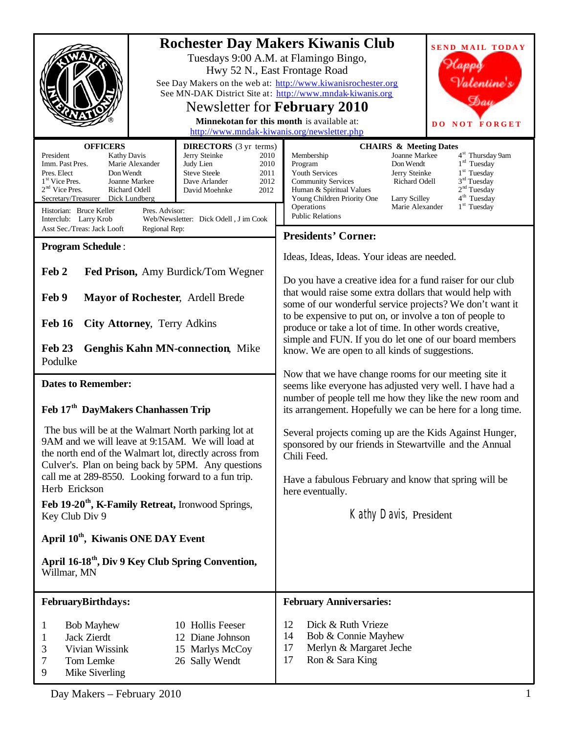|                                                                                                                                                                                                                                                                                                                                                                                                                                                                                                                                 | <b>Rochester Day Makers Kiwanis Club</b><br><b>SEND MAIL TODAY</b><br>Tuesdays 9:00 A.M. at Flamingo Bingo,<br>Hwy 52 N., East Frontage Road<br>Valentine's<br>See Day Makers on the web at: http://www.kiwanisrochester.org<br>See MN-DAK District Site at: http://www.mndak-kiwanis.org<br>Dau<br>Newsletter for February 2010<br>Minnekotan for this month is available at:<br><b>DO NOT FORGET</b><br>http://www.mndak-kiwanis.org/newsletter.php                                                                                      |  |  |  |
|---------------------------------------------------------------------------------------------------------------------------------------------------------------------------------------------------------------------------------------------------------------------------------------------------------------------------------------------------------------------------------------------------------------------------------------------------------------------------------------------------------------------------------|--------------------------------------------------------------------------------------------------------------------------------------------------------------------------------------------------------------------------------------------------------------------------------------------------------------------------------------------------------------------------------------------------------------------------------------------------------------------------------------------------------------------------------------------|--|--|--|
| <b>OFFICERS</b><br><b>DIRECTORS</b> (3 yr terms)<br>President<br>Jerry Steinke<br><b>Kathy Davis</b><br>2010<br>Imm. Past Pres.<br>Marie Alexander<br>Judy Lien<br>2010<br>Pres. Elect<br>Don Wendt<br><b>Steve Steele</b><br>2011<br>1 <sup>st</sup> Vice Pres.<br>2012<br>Joanne Markee<br>Dave Arlander<br>$2nd$ Vice Pres.<br>Richard Odell<br>David Moehnke<br>2012<br>Secretary/Treasurer<br>Dick Lundberg<br>Historian: Bruce Keller<br>Pres. Advisor:<br>Web/Newsletter: Dick Odell, J im Cook<br>Interclub: Larry Krob | <b>CHAIRS &amp; Meeting Dates</b><br>Joanne Markee<br>4 <sup>st</sup> Thursday 9am<br>Membership<br>$1rd$ Tuesday<br>Program<br>Don Wendt<br>1 <sup>st</sup> Tuesday<br>Youth Services<br>Jerry Steinke<br>Richard Odell<br>$3rd$ Tuesday<br><b>Community Services</b><br>2 <sup>nd</sup> Tuesday<br>Human & Spiritual Values<br>4 <sup>th</sup> Tuesday<br>Young Children Priority One<br>Larry Scilley<br>1 <sup>st</sup> Tuesday<br>Operations<br>Marie Alexander<br><b>Public Relations</b>                                            |  |  |  |
| Asst Sec./Treas: Jack Looft<br>Regional Rep:                                                                                                                                                                                                                                                                                                                                                                                                                                                                                    | <b>Presidents' Corner:</b>                                                                                                                                                                                                                                                                                                                                                                                                                                                                                                                 |  |  |  |
| <b>Program Schedule:</b>                                                                                                                                                                                                                                                                                                                                                                                                                                                                                                        | Ideas, Ideas, Ideas. Your ideas are needed.                                                                                                                                                                                                                                                                                                                                                                                                                                                                                                |  |  |  |
| Feb 2<br>Fed Prison, Amy Burdick/Tom Wegner<br>Feb 9<br>Mayor of Rochester, Ardell Brede<br>Feb 16<br><b>City Attorney, Terry Adkins</b><br><b>Genghis Kahn MN-connection, Mike</b><br>Feb 23<br>Podulke<br><b>Dates to Remember:</b>                                                                                                                                                                                                                                                                                           | Do you have a creative idea for a fund raiser for our club<br>that would raise some extra dollars that would help with<br>some of our wonderful service projects? We don't want it<br>to be expensive to put on, or involve a ton of people to<br>produce or take a lot of time. In other words creative,<br>simple and FUN. If you do let one of our board members<br>know. We are open to all kinds of suggestions.<br>Now that we have change rooms for our meeting site it<br>seems like everyone has adjusted very well. I have had a |  |  |  |
| Feb 17 <sup>th</sup> DayMakers Chanhassen Trip                                                                                                                                                                                                                                                                                                                                                                                                                                                                                  | number of people tell me how they like the new room and<br>its arrangement. Hopefully we can be here for a long time.                                                                                                                                                                                                                                                                                                                                                                                                                      |  |  |  |
| The bus will be at the Walmart North parking lot at<br>9AM and we will leave at 9:15AM. We will load at<br>the north end of the Walmart lot, directly across from<br>Culver's. Plan on being back by 5PM. Any questions<br>call me at 289-8550. Looking forward to a fun trip.                                                                                                                                                                                                                                                  | Several projects coming up are the Kids Against Hunger,<br>sponsored by our friends in Stewartville and the Annual<br>Chili Feed.<br>Have a fabulous February and know that spring will be                                                                                                                                                                                                                                                                                                                                                 |  |  |  |
| Herb Erickson                                                                                                                                                                                                                                                                                                                                                                                                                                                                                                                   | here eventually.                                                                                                                                                                                                                                                                                                                                                                                                                                                                                                                           |  |  |  |
| Feb 19-20 <sup>th</sup> , K-Family Retreat, Ironwood Springs,<br>Key Club Div 9                                                                                                                                                                                                                                                                                                                                                                                                                                                 | Kathy Davis, President                                                                                                                                                                                                                                                                                                                                                                                                                                                                                                                     |  |  |  |
| April 10 <sup>th</sup> , Kiwanis ONE DAY Event                                                                                                                                                                                                                                                                                                                                                                                                                                                                                  |                                                                                                                                                                                                                                                                                                                                                                                                                                                                                                                                            |  |  |  |
| April 16-18 <sup>th</sup> , Div 9 Key Club Spring Convention,<br>Willmar, MN                                                                                                                                                                                                                                                                                                                                                                                                                                                    |                                                                                                                                                                                                                                                                                                                                                                                                                                                                                                                                            |  |  |  |
| <b>FebruaryBirthdays:</b>                                                                                                                                                                                                                                                                                                                                                                                                                                                                                                       | <b>February Anniversaries:</b>                                                                                                                                                                                                                                                                                                                                                                                                                                                                                                             |  |  |  |
| 10 Hollis Feeser<br><b>Bob Mayhew</b><br>1<br>Jack Zierdt<br>12 Diane Johnson<br>1<br>Vivian Wissink<br>3<br>15 Marlys McCoy<br>26 Sally Wendt<br>Tom Lemke<br>7<br>9<br>Mike Siverling                                                                                                                                                                                                                                                                                                                                         | Dick & Ruth Vrieze<br>12<br>14<br>Bob & Connie Mayhew<br>Merlyn & Margaret Jeche<br>17<br>Ron & Sara King<br>17                                                                                                                                                                                                                                                                                                                                                                                                                            |  |  |  |

Day Makers – February 2010 1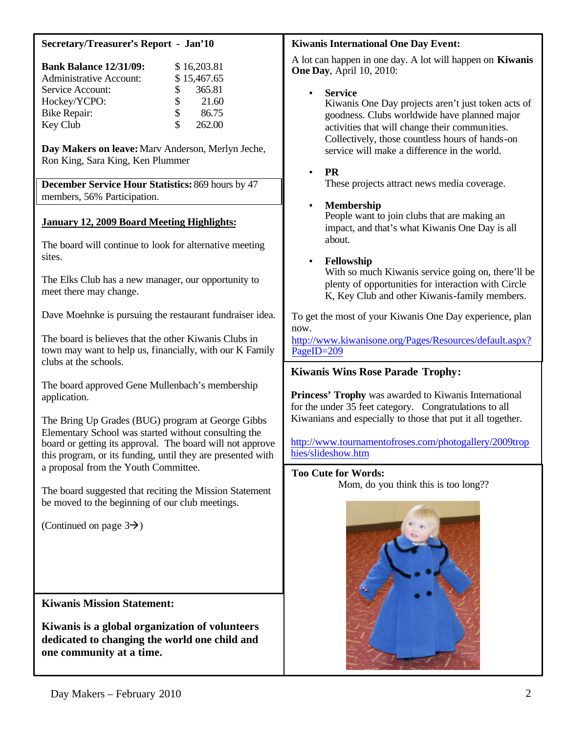|  | <b>Secretary/Treasurer's Report - Jan'10</b> |  |  |  |  |  |
|--|----------------------------------------------|--|--|--|--|--|
|--|----------------------------------------------|--|--|--|--|--|

| <b>Bank Balance 12/31/09:</b>  |    | \$16,203.81 |
|--------------------------------|----|-------------|
| <b>Administrative Account:</b> |    | \$15,467.65 |
| Service Account:               | S. | 365.81      |
| Hockey/YCPO:                   | \$ | 21.60       |
| <b>Bike Repair:</b>            | S  | 86.75       |
| Key Club                       | S. | 262.00      |

**Day Makers on leave:**Marv Anderson, Merlyn Jeche, Ron King, Sara King, Ken Plummer

**December Service Hour Statistics:** 869 hours by 47 members, 56% Participation.

# **January 12, 2009 Board Meeting Highlights:**

The board will continue to look for alternative meeting sites.

The Elks Club has a new manager, our opportunity to meet there may change.

Dave Moehnke is pursuing the restaurant fundraiser idea.

The board is believes that the other Kiwanis Clubs in town may want to help us, financially, with our K Family clubs at the schools.

The board approved Gene Mullenbach's membership application.

The Bring Up Grades (BUG) program at George Gibbs Elementary School was started without consulting the board or getting its approval. The board will not approve this program, or its funding, until they are presented with a proposal from the Youth Committee.

The board suggested that reciting the Mission Statement be moved to the beginning of our club meetings.

(Continued on page  $3\rightarrow$ )

### **Kiwanis Mission Statement:**

**Kiwanis is a global organization of volunteers dedicated to changing the world one child and one community at a time.**

### **Kiwanis International One Day Event:**

A lot can happen in one day. A lot will happen on **Kiwanis One Day**, April 10, 2010:

• **Service** 

Kiwanis One Day projects aren't just token acts of goodness. Clubs worldwide have planned major activities that will change their communities. Collectively, those countless hours of hands-on service will make a difference in the world.

### • **PR**

These projects attract news media coverage.

# • **Membership**

People want to join clubs that are making an impact, and that's what Kiwanis One Day is all about.

# • **Fellowship**

With so much Kiwanis service going on, there'll be plenty of opportunities for interaction with Circle K, Key Club and other Kiwanis-family members.

To get the most of your Kiwanis One Day experience, plan now.

<http://www.kiwanisone.org/Pages/Resources/default.aspx?> PageID=209

# **Kiwanis Wins Rose Parade Trophy:**

**Princess' Trophy** was awarded to Kiwanis International for the under 35 feet category. Congratulations to all Kiwanians and especially to those that put it all together.

<http://www.tournamentofroses.com/photogallery/2009trop> hies/slideshow.htm

# **Too Cute for Words:**

Mom, do you think this is too long??